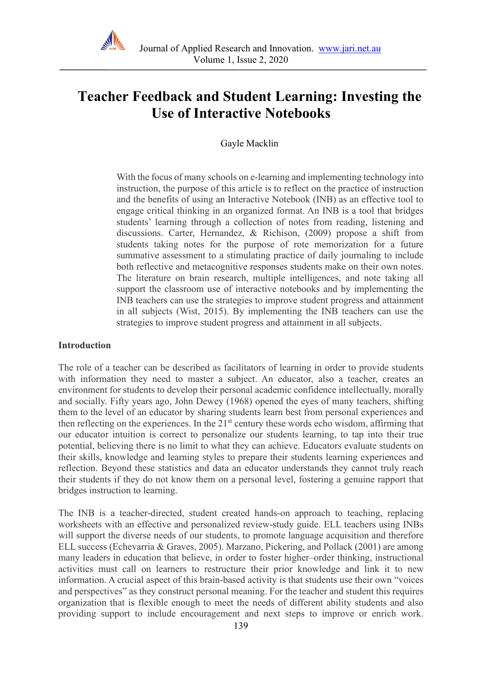

# **Teacher Feedback and Student Learning: Investing the Use of Interactive Notebooks**

Gayle Macklin

With the focus of many schools on e-learning and implementing technology into instruction, the purpose of this article is to reflect on the practice of instruction and the benefits of using an Interactive Notebook (INB) as an effective tool to engage critical thinking in an organized format. An INB is a tool that bridges students' learning through a collection of notes from reading, listening and discussions. Carter, Hernandez, & Richison, (2009) propose a shift from students taking notes for the purpose of rote memorization for a future summative assessment to a stimulating practice of daily journaling to include both reflective and metacognitive responses students make on their own notes. The literature on brain research, multiple intelligences, and note taking all support the classroom use of interactive notebooks and by implementing the INB teachers can use the strategies to improve student progress and attainment in all subjects (Wist, 2015). By implementing the INB teachers can use the strategies to improve student progress and attainment in all subjects.

#### **Introduction**

The role of a teacher can be described as facilitators of learning in order to provide students with information they need to master a subject. An educator, also a teacher, creates an environment for students to develop their personal academic confidence intellectually, morally and socially. Fifty years ago, John Dewey (1968) opened the eyes of many teachers, shifting them to the level of an educator by sharing students learn best from personal experiences and then reflecting on the experiences. In the  $21<sup>st</sup>$  century these words echo wisdom, affirming that our educator intuition is correct to personalize our students learning, to tap into their true potential, believing there is no limit to what they can achieve. Educators evaluate students on their skills, knowledge and learning styles to prepare their students learning experiences and reflection. Beyond these statistics and data an educator understands they cannot truly reach their students if they do not know them on a personal level, fostering a genuine rapport that bridges instruction to learning.

The INB is a teacher-directed, student created hands-on approach to teaching, replacing worksheets with an effective and personalized review-study guide. ELL teachers using INBs will support the diverse needs of our students, to promote language acquisition and therefore ELL success (Echevarria & Graves, 2005). Marzano, Pickering, and Pollack (2001) are among many leaders in education that believe, in order to foster higher–order thinking, instructional activities must call on learners to restructure their prior knowledge and link it to new information. A crucial aspect of this brain-based activity is that students use their own "voices and perspectives" as they construct personal meaning. For the teacher and student this requires organization that is flexible enough to meet the needs of different ability students and also providing support to include encouragement and next steps to improve or enrich work.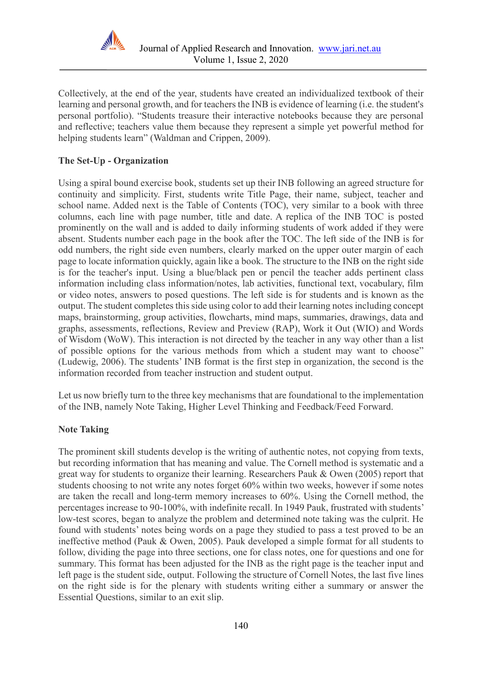

Collectively, at the end of the year, students have created an individualized textbook of their learning and personal growth, and for teachers the INB is evidence of learning (i.e. the student's personal portfolio). "Students treasure their interactive notebooks because they are personal and reflective; teachers value them because they represent a simple yet powerful method for helping students learn" (Waldman and Crippen, 2009).

# **The Set-Up - Organization**

Using a spiral bound exercise book, students set up their INB following an agreed structure for continuity and simplicity. First, students write Title Page, their name, subject, teacher and school name. Added next is the Table of Contents (TOC), very similar to a book with three columns, each line with page number, title and date. A replica of the INB TOC is posted prominently on the wall and is added to daily informing students of work added if they were absent. Students number each page in the book after the TOC. The left side of the INB is for odd numbers, the right side even numbers, clearly marked on the upper outer margin of each page to locate information quickly, again like a book. The structure to the INB on the right side is for the teacher's input. Using a blue/black pen or pencil the teacher adds pertinent class information including class information/notes, lab activities, functional text, vocabulary, film or video notes, answers to posed questions. The left side is for students and is known as the output. The student completes this side using color to add their learning notes including concept maps, brainstorming, group activities, flowcharts, mind maps, summaries, drawings, data and graphs, assessments, reflections, Review and Preview (RAP), Work it Out (WIO) and Words of Wisdom (WoW). This interaction is not directed by the teacher in any way other than a list of possible options for the various methods from which a student may want to choose" (Ludewig, 2006). The students' INB format is the first step in organization, the second is the information recorded from teacher instruction and student output.

Let us now briefly turn to the three key mechanisms that are foundational to the implementation of the INB, namely Note Taking, Higher Level Thinking and Feedback/Feed Forward.

## **Note Taking**

The prominent skill students develop is the writing of authentic notes, not copying from texts, but recording information that has meaning and value. The Cornell method is systematic and a great way for students to organize their learning. Researchers Pauk & Owen (2005) report that students choosing to not write any notes forget 60% within two weeks, however if some notes are taken the recall and long-term memory increases to 60%. Using the Cornell method, the percentages increase to 90-100%, with indefinite recall. In 1949 Pauk, frustrated with students' low-test scores, began to analyze the problem and determined note taking was the culprit. He found with students' notes being words on a page they studied to pass a test proved to be an ineffective method (Pauk & Owen, 2005). Pauk developed a simple format for all students to follow, dividing the page into three sections, one for class notes, one for questions and one for summary. This format has been adjusted for the INB as the right page is the teacher input and left page is the student side, output. Following the structure of Cornell Notes, the last five lines on the right side is for the plenary with students writing either a summary or answer the Essential Questions, similar to an exit slip.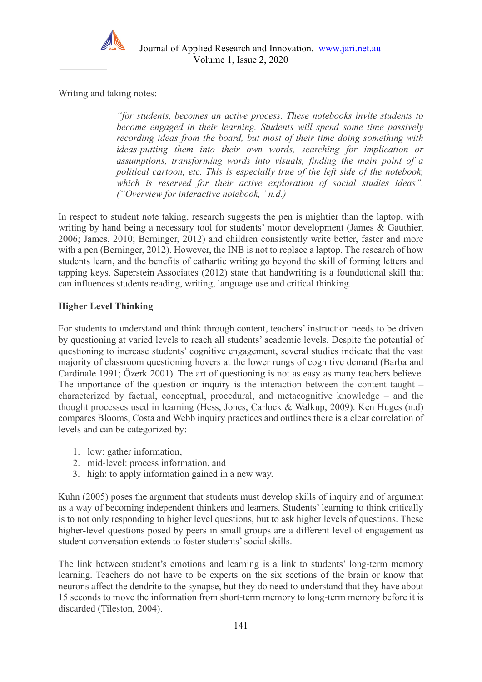

Writing and taking notes:

*"for students, becomes an active process. These notebooks invite students to become engaged in their learning. Students will spend some time passively recording ideas from the board, but most of their time doing something with ideas-putting them into their own words, searching for implication or assumptions, transforming words into visuals, finding the main point of a political cartoon, etc. This is especially true of the left side of the notebook, which is reserved for their active exploration of social studies ideas". ("Overview for interactive notebook," n.d.)*

In respect to student note taking, research suggests the pen is mightier than the laptop, with writing by hand being a necessary tool for students' motor development (James & Gauthier, 2006; James, 2010; Berninger, 2012) and children consistently write better, faster and more with a pen (Berninger, 2012). However, the INB is not to replace a laptop. The research of how students learn, and the benefits of cathartic writing go beyond the skill of forming letters and tapping keys. Saperstein Associates (2012) state that handwriting is a foundational skill that can influences students reading, writing, language use and critical thinking.

# **Higher Level Thinking**

For students to understand and think through content, teachers' instruction needs to be driven by questioning at varied levels to reach all students' academic levels. Despite the potential of questioning to increase students' cognitive engagement, several studies indicate that the vast majority of classroom questioning hovers at the lower rungs of cognitive demand (Barba and Cardinale 1991; Özerk 2001). The art of questioning is not as easy as many teachers believe. The importance of the question or inquiry is the interaction between the content taught – characterized by factual, conceptual, procedural, and metacognitive knowledge – and the thought processes used in learning (Hess, Jones, Carlock & Walkup, 2009). Ken Huges (n.d) compares Blooms, Costa and Webb inquiry practices and outlines there is a clear correlation of levels and can be categorized by:

- 1. low: gather information,
- 2. mid-level: process information, and
- 3. high: to apply information gained in a new way.

Kuhn (2005) poses the argument that students must develop skills of inquiry and of argument as a way of becoming independent thinkers and learners. Students' learning to think critically is to not only responding to higher level questions, but to ask higher levels of questions. These higher-level questions posed by peers in small groups are a different level of engagement as student conversation extends to foster students' social skills.

The link between student's emotions and learning is a link to students' long-term memory learning. Teachers do not have to be experts on the six sections of the brain or know that neurons affect the dendrite to the synapse, but they do need to understand that they have about 15 seconds to move the information from short-term memory to long-term memory before it is discarded (Tileston, 2004).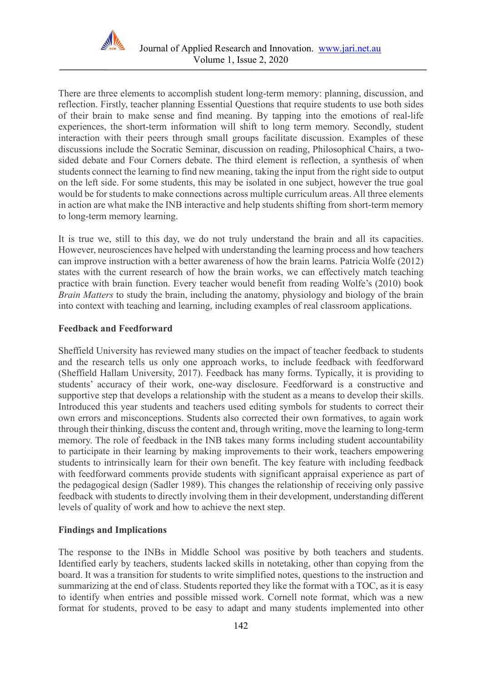

There are three elements to accomplish student long-term memory: planning, discussion, and reflection. Firstly, teacher planning Essential Questions that require students to use both sides of their brain to make sense and find meaning. By tapping into the emotions of real-life experiences, the short-term information will shift to long term memory. Secondly, student interaction with their peers through small groups facilitate discussion. Examples of these discussions include the Socratic Seminar, discussion on reading, Philosophical Chairs, a twosided debate and Four Corners debate. The third element is reflection, a synthesis of when students connect the learning to find new meaning, taking the input from the right side to output on the left side. For some students, this may be isolated in one subject, however the true goal would be for students to make connections across multiple curriculum areas. All three elements in action are what make the INB interactive and help students shifting from short-term memory to long-term memory learning.

It is true we, still to this day, we do not truly understand the brain and all its capacities. However, neurosciences have helped with understanding the learning process and how teachers can improve instruction with a better awareness of how the brain learns. Patricia Wolfe (2012) states with the current research of how the brain works, we can effectively match teaching practice with brain function. Every teacher would benefit from reading Wolfe's (2010) book *Brain Matters* to study the brain, including the anatomy, physiology and biology of the brain into context with teaching and learning, including examples of real classroom applications.

## **Feedback and Feedforward**

Sheffield University has reviewed many studies on the impact of teacher feedback to students and the research tells us only one approach works, to include feedback with feedforward (Sheffield Hallam University, 2017). Feedback has many forms. Typically, it is providing to students' accuracy of their work, one-way disclosure. Feedforward is a constructive and supportive step that develops a relationship with the student as a means to develop their skills. Introduced this year students and teachers used editing symbols for students to correct their own errors and misconceptions. Students also corrected their own formatives, to again work through their thinking, discuss the content and, through writing, move the learning to long-term memory. The role of feedback in the INB takes many forms including student accountability to participate in their learning by making improvements to their work, teachers empowering students to intrinsically learn for their own benefit. The key feature with including feedback with feedforward comments provide students with significant appraisal experience as part of the pedagogical design (Sadler 1989). This changes the relationship of receiving only passive feedback with students to directly involving them in their development, understanding different levels of quality of work and how to achieve the next step.

## **Findings and Implications**

The response to the INBs in Middle School was positive by both teachers and students. Identified early by teachers, students lacked skills in notetaking, other than copying from the board. It was a transition for students to write simplified notes, questions to the instruction and summarizing at the end of class. Students reported they like the format with a TOC, as it is easy to identify when entries and possible missed work. Cornell note format, which was a new format for students, proved to be easy to adapt and many students implemented into other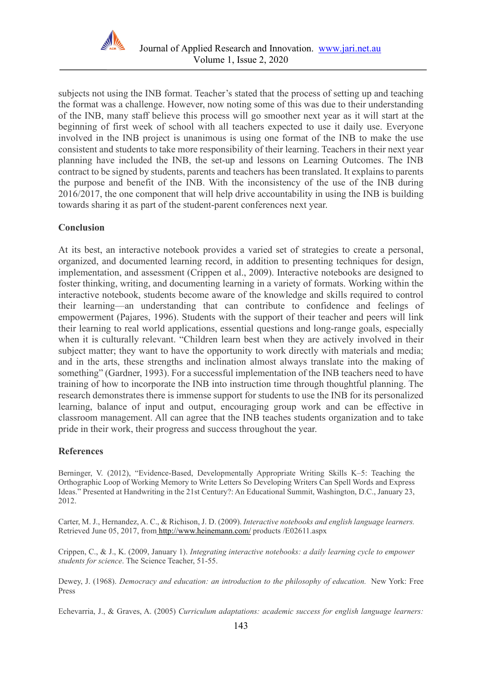

subjects not using the INB format. Teacher's stated that the process of setting up and teaching the format was a challenge. However, now noting some of this was due to their understanding of the INB, many staff believe this process will go smoother next year as it will start at the beginning of first week of school with all teachers expected to use it daily use. Everyone involved in the INB project is unanimous is using one format of the INB to make the use consistent and students to take more responsibility of their learning. Teachers in their next year planning have included the INB, the set-up and lessons on Learning Outcomes. The INB contract to be signed by students, parents and teachers has been translated. It explains to parents the purpose and benefit of the INB. With the inconsistency of the use of the INB during 2016/2017, the one component that will help drive accountability in using the INB is building towards sharing it as part of the student-parent conferences next year.

## **Conclusion**

At its best, an interactive notebook provides a varied set of strategies to create a personal, organized, and documented learning record, in addition to presenting techniques for design, implementation, and assessment (Crippen et al., 2009). Interactive notebooks are designed to foster thinking, writing, and documenting learning in a variety of formats. Working within the interactive notebook, students become aware of the knowledge and skills required to control their learning—an understanding that can contribute to confidence and feelings of empowerment (Pajares, 1996). Students with the support of their teacher and peers will link their learning to real world applications, essential questions and long-range goals, especially when it is culturally relevant. "Children learn best when they are actively involved in their subject matter; they want to have the opportunity to work directly with materials and media; and in the arts, these strengths and inclination almost always translate into the making of something" (Gardner, 1993). For a successful implementation of the INB teachers need to have training of how to incorporate the INB into instruction time through thoughtful planning. The research demonstrates there is immense support for students to use the INB for its personalized learning, balance of input and output, encouraging group work and can be effective in classroom management. All can agree that the INB teaches students organization and to take pride in their work, their progress and success throughout the year.

#### **References**

Berninger, V. (2012), "Evidence-Based, Developmentally Appropriate Writing Skills K–5: Teaching the Orthographic Loop of Working Memory to Write Letters So Developing Writers Can Spell Words and Express Ideas." Presented at Handwriting in the 21st Century?: An Educational Summit, Washington, D.C., January 23, 2012.

Carter, M. J., Hernandez, A. C., & Richison, J. D. (2009). *Interactive notebooks and english language learners.*  Retrieved June 05, 2017, from <http://www.heinemann.com/> products /E02611.aspx

Crippen, C., & J., K. (2009, January 1). *Integrating interactive notebooks: a daily learning cycle to empower students for science*. The Science Teacher, 51-55.

Dewey, J. (1968). *Democracy and education: an introduction to the philosophy of education.* New York: Free Press

Echevarria, J., & Graves, A. (2005) *Curriculum adaptations: academic success for english language learners:*